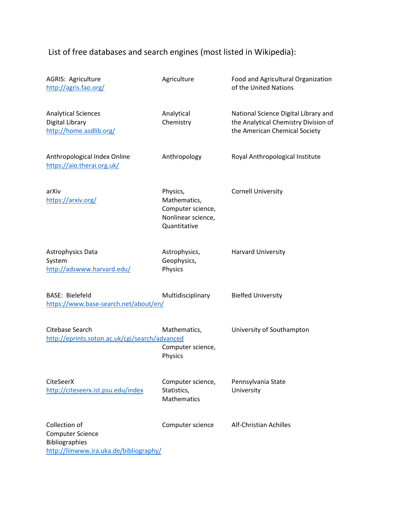## List of free databases and search engines (most listed in Wikipedia):

| <b>AGRIS: Agriculture</b><br>http://agris.fao.org/                                                           | Agriculture                                                                         | Food and Agricultural Organization<br>of the United Nations                                                   |
|--------------------------------------------------------------------------------------------------------------|-------------------------------------------------------------------------------------|---------------------------------------------------------------------------------------------------------------|
| <b>Analytical Sciences</b><br>Digital Library<br>http://home.asdlib.org/                                     | Analytical<br>Chemistry                                                             | National Science Digital Library and<br>the Analytical Chemistry Division of<br>the American Chemical Society |
| Anthropological Index Online<br>https://aio.therai.org.uk/                                                   | Anthropology                                                                        | Royal Anthropological Institute                                                                               |
| arXiv<br>https://arxiv.org/                                                                                  | Physics,<br>Mathematics,<br>Computer science,<br>Nonlinear science,<br>Quantitative | <b>Cornell University</b>                                                                                     |
| <b>Astrophysics Data</b><br>System<br>http://adswww.harvard.edu/                                             | Astrophysics,<br>Geophysics,<br>Physics                                             | <b>Harvard University</b>                                                                                     |
| <b>BASE: Bielefeld</b><br>https://www.base-search.net/about/en/                                              | Multidisciplinary                                                                   | <b>Bielfed University</b>                                                                                     |
| Citebase Search<br>http://eprints.soton.ac.uk/cgi/search/advanced                                            | Mathematics,<br>Computer science,<br>Physics                                        | University of Southampton                                                                                     |
| <b>CiteSeerX</b><br>http://citeseerx.ist.psu.edu/index                                                       | Computer science,<br>Statistics,<br><b>Mathematics</b>                              | Pennsylvania State<br>University                                                                              |
| Collection of<br><b>Computer Science</b><br><b>Bibliographies</b><br>http://liinwww.ira.uka.de/bibliography/ | Computer science                                                                    | <b>Alf-Christian Achilles</b>                                                                                 |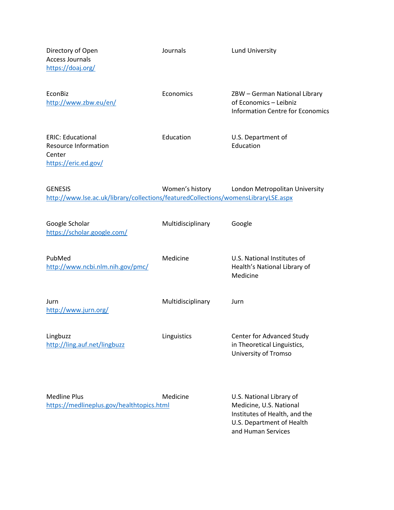| Directory of Open<br><b>Access Journals</b><br>https://doaj.org/                                     | Journals          | Lund University                                                                                                                         |
|------------------------------------------------------------------------------------------------------|-------------------|-----------------------------------------------------------------------------------------------------------------------------------------|
| EconBiz<br>http://www.zbw.eu/en/                                                                     | Economics         | ZBW - German National Library<br>of Economics - Leibniz<br><b>Information Centre for Economics</b>                                      |
| <b>ERIC: Educational</b><br><b>Resource Information</b><br>Center<br>https://eric.ed.gov/            | Education         | U.S. Department of<br>Education                                                                                                         |
| <b>GENESIS</b><br>http://www.lse.ac.uk/library/collections/featuredCollections/womensLibraryLSE.aspx | Women's history   | London Metropolitan University                                                                                                          |
| Google Scholar<br>https://scholar.google.com/                                                        | Multidisciplinary | Google                                                                                                                                  |
| PubMed<br>http://www.ncbi.nlm.nih.gov/pmc/                                                           | Medicine          | U.S. National Institutes of<br>Health's National Library of<br>Medicine                                                                 |
| Jurn<br>http://www.jurn.org/                                                                         | Multidisciplinary | Jurn                                                                                                                                    |
| Lingbuzz<br>http://ling.auf.net/lingbuzz                                                             | Linguistics       | <b>Center for Advanced Study</b><br>in Theoretical Linguistics,<br>University of Tromso                                                 |
| <b>Medline Plus</b><br>https://medlineplus.gov/healthtopics.html                                     | Medicine          | U.S. National Library of<br>Medicine, U.S. National<br>Institutes of Health, and the<br>U.S. Department of Health<br>and Human Services |